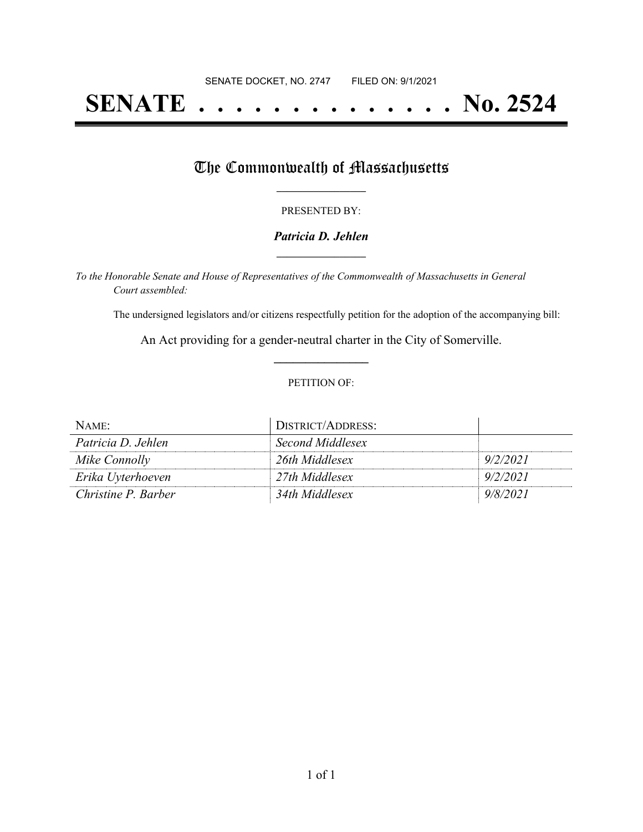# **SENATE . . . . . . . . . . . . . . No. 2524**

## The Commonwealth of Massachusetts

#### PRESENTED BY:

#### *Patricia D. Jehlen* **\_\_\_\_\_\_\_\_\_\_\_\_\_\_\_\_\_**

*To the Honorable Senate and House of Representatives of the Commonwealth of Massachusetts in General Court assembled:*

The undersigned legislators and/or citizens respectfully petition for the adoption of the accompanying bill:

An Act providing for a gender-neutral charter in the City of Somerville. **\_\_\_\_\_\_\_\_\_\_\_\_\_\_\_**

#### PETITION OF:

| NAME:               | DISTRICT/ADDRESS: |          |
|---------------------|-------------------|----------|
| Patricia D. Jehlen  | Second Middlesex  |          |
| Mike Connolly       | 26th Middlesex    | 9/2/2021 |
| Erika Uyterhoeven   | 27th Middlesex    | 9/2/2021 |
| Christine P. Barber | 34th Middlesex    | 9/8/2021 |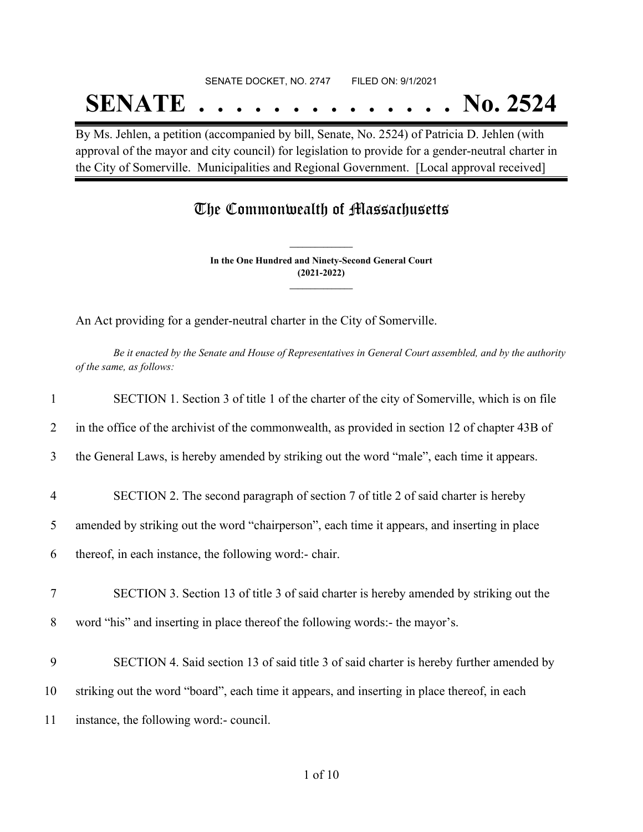# SENATE DOCKET, NO. 2747 FILED ON: 9/1/2021 **SENATE . . . . . . . . . . . . . . No. 2524**

By Ms. Jehlen, a petition (accompanied by bill, Senate, No. 2524) of Patricia D. Jehlen (with approval of the mayor and city council) for legislation to provide for a gender-neutral charter in the City of Somerville. Municipalities and Regional Government. [Local approval received]

# The Commonwealth of Massachusetts

**In the One Hundred and Ninety-Second General Court (2021-2022) \_\_\_\_\_\_\_\_\_\_\_\_\_\_\_**

**\_\_\_\_\_\_\_\_\_\_\_\_\_\_\_**

An Act providing for a gender-neutral charter in the City of Somerville.

Be it enacted by the Senate and House of Representatives in General Court assembled, and by the authority *of the same, as follows:*

| 1              | SECTION 1. Section 3 of title 1 of the charter of the city of Somerville, which is on file      |
|----------------|-------------------------------------------------------------------------------------------------|
| 2              | in the office of the archivist of the commonwealth, as provided in section 12 of chapter 43B of |
| 3              | the General Laws, is hereby amended by striking out the word "male", each time it appears.      |
| $\overline{4}$ | SECTION 2. The second paragraph of section 7 of title 2 of said charter is hereby               |
| 5              | amended by striking out the word "chairperson", each time it appears, and inserting in place    |
| 6              | thereof, in each instance, the following word:- chair.                                          |
| 7              | SECTION 3. Section 13 of title 3 of said charter is hereby amended by striking out the          |
| 8              | word "his" and inserting in place thereof the following words:- the mayor's.                    |
| 9              | SECTION 4. Said section 13 of said title 3 of said charter is hereby further amended by         |
| 10             | striking out the word "board", each time it appears, and inserting in place thereof, in each    |
| 11             | instance, the following word:- council.                                                         |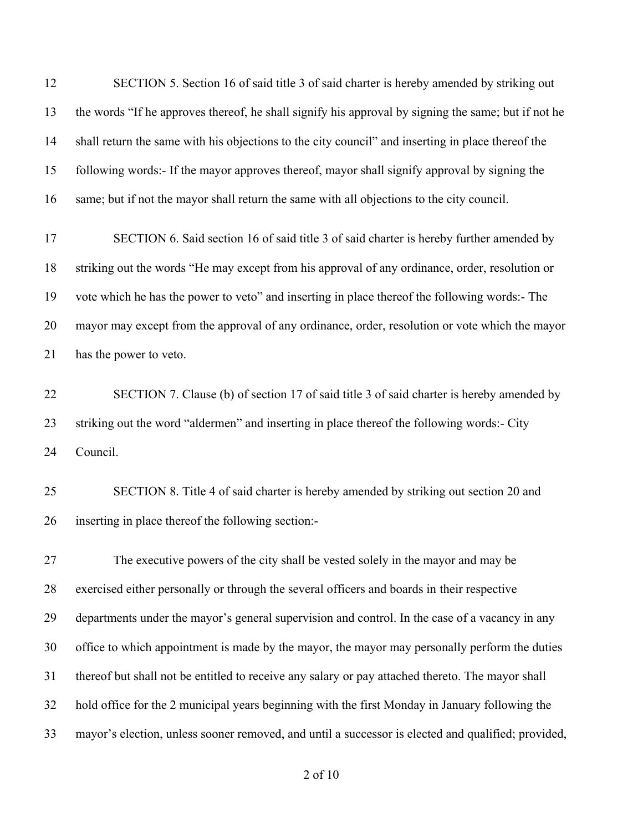SECTION 5. Section 16 of said title 3 of said charter is hereby amended by striking out the words "If he approves thereof, he shall signify his approval by signing the same; but if not he shall return the same with his objections to the city council" and inserting in place thereof the following words:- If the mayor approves thereof, mayor shall signify approval by signing the same; but if not the mayor shall return the same with all objections to the city council.

 SECTION 6. Said section 16 of said title 3 of said charter is hereby further amended by striking out the words "He may except from his approval of any ordinance, order, resolution or vote which he has the power to veto" and inserting in place thereof the following words:- The mayor may except from the approval of any ordinance, order, resolution or vote which the mayor has the power to veto.

 SECTION 7. Clause (b) of section 17 of said title 3 of said charter is hereby amended by striking out the word "aldermen" and inserting in place thereof the following words:- City Council.

 SECTION 8. Title 4 of said charter is hereby amended by striking out section 20 and inserting in place thereof the following section:-

 The executive powers of the city shall be vested solely in the mayor and may be exercised either personally or through the several officers and boards in their respective departments under the mayor's general supervision and control. In the case of a vacancy in any office to which appointment is made by the mayor, the mayor may personally perform the duties thereof but shall not be entitled to receive any salary or pay attached thereto. The mayor shall hold office for the 2 municipal years beginning with the first Monday in January following the mayor's election, unless sooner removed, and until a successor is elected and qualified; provided,

of 10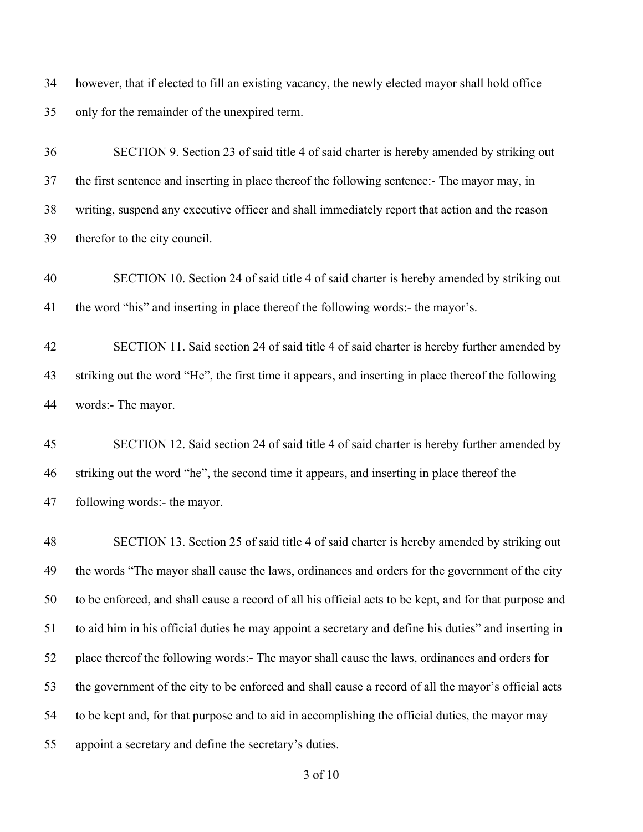however, that if elected to fill an existing vacancy, the newly elected mayor shall hold office only for the remainder of the unexpired term.

 SECTION 9. Section 23 of said title 4 of said charter is hereby amended by striking out the first sentence and inserting in place thereof the following sentence:- The mayor may, in writing, suspend any executive officer and shall immediately report that action and the reason therefor to the city council.

 SECTION 10. Section 24 of said title 4 of said charter is hereby amended by striking out the word "his" and inserting in place thereof the following words:- the mayor's.

 SECTION 11. Said section 24 of said title 4 of said charter is hereby further amended by striking out the word "He", the first time it appears, and inserting in place thereof the following words:- The mayor.

 SECTION 12. Said section 24 of said title 4 of said charter is hereby further amended by striking out the word "he", the second time it appears, and inserting in place thereof the following words:- the mayor.

 SECTION 13. Section 25 of said title 4 of said charter is hereby amended by striking out the words "The mayor shall cause the laws, ordinances and orders for the government of the city to be enforced, and shall cause a record of all his official acts to be kept, and for that purpose and to aid him in his official duties he may appoint a secretary and define his duties" and inserting in place thereof the following words:- The mayor shall cause the laws, ordinances and orders for the government of the city to be enforced and shall cause a record of all the mayor's official acts to be kept and, for that purpose and to aid in accomplishing the official duties, the mayor may appoint a secretary and define the secretary's duties.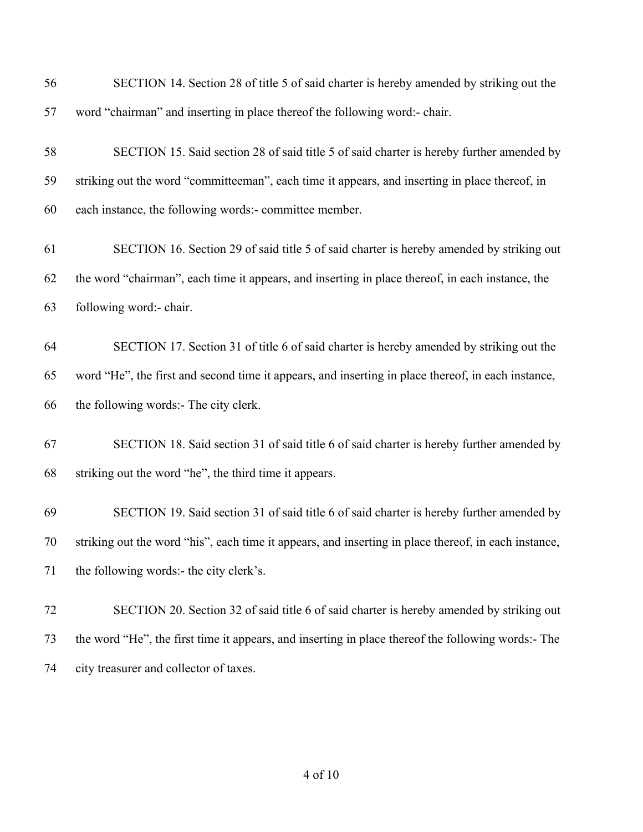| 56 | SECTION 14. Section 28 of title 5 of said charter is hereby amended by striking out the              |
|----|------------------------------------------------------------------------------------------------------|
| 57 | word "chairman" and inserting in place thereof the following word:- chair.                           |
| 58 | SECTION 15. Said section 28 of said title 5 of said charter is hereby further amended by             |
| 59 | striking out the word "committeeman", each time it appears, and inserting in place thereof, in       |
| 60 | each instance, the following words:- committee member.                                               |
| 61 | SECTION 16. Section 29 of said title 5 of said charter is hereby amended by striking out             |
| 62 | the word "chairman", each time it appears, and inserting in place thereof, in each instance, the     |
| 63 | following word:- chair.                                                                              |
| 64 | SECTION 17. Section 31 of title 6 of said charter is hereby amended by striking out the              |
| 65 | word "He", the first and second time it appears, and inserting in place thereof, in each instance,   |
| 66 | the following words:- The city clerk.                                                                |
| 67 | SECTION 18. Said section 31 of said title 6 of said charter is hereby further amended by             |
| 68 | striking out the word "he", the third time it appears.                                               |
| 69 | SECTION 19. Said section 31 of said title 6 of said charter is hereby further amended by             |
| 70 | striking out the word "his", each time it appears, and inserting in place thereof, in each instance, |
| 71 | the following words:- the city clerk's.                                                              |
| 72 | SECTION 20. Section 32 of said title 6 of said charter is hereby amended by striking out             |
| 73 | the word "He", the first time it appears, and inserting in place thereof the following words:- The   |
| 74 | city treasurer and collector of taxes.                                                               |
|    |                                                                                                      |

of 10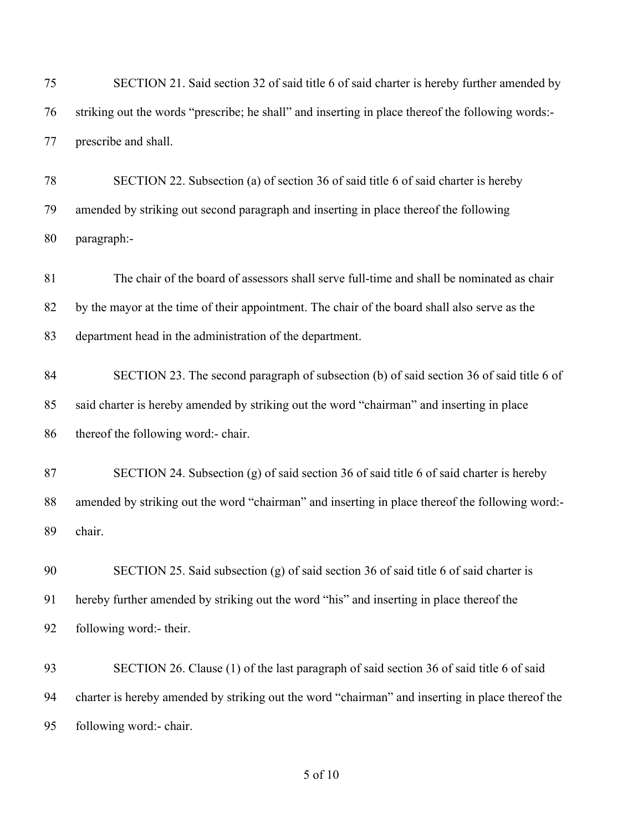| 75 | SECTION 21. Said section 32 of said title 6 of said charter is hereby further amended by          |
|----|---------------------------------------------------------------------------------------------------|
| 76 | striking out the words "prescribe; he shall" and inserting in place thereof the following words:- |
| 77 | prescribe and shall.                                                                              |
| 78 | SECTION 22. Subsection (a) of section 36 of said title 6 of said charter is hereby                |
| 79 | amended by striking out second paragraph and inserting in place thereof the following             |
| 80 | paragraph:-                                                                                       |
| 81 | The chair of the board of assessors shall serve full-time and shall be nominated as chair         |
| 82 | by the mayor at the time of their appointment. The chair of the board shall also serve as the     |
| 83 | department head in the administration of the department.                                          |
| 84 | SECTION 23. The second paragraph of subsection (b) of said section 36 of said title 6 of          |
| 85 | said charter is hereby amended by striking out the word "chairman" and inserting in place         |
| 86 | thereof the following word:- chair.                                                               |
| 87 | SECTION 24. Subsection (g) of said section 36 of said title 6 of said charter is hereby           |
| 88 | amended by striking out the word "chairman" and inserting in place thereof the following word:-   |
| 89 | chair.                                                                                            |
| 90 | SECTION 25. Said subsection (g) of said section 36 of said title 6 of said charter is             |
| 91 | hereby further amended by striking out the word "his" and inserting in place thereof the          |
| 92 | following word:- their.                                                                           |
| 93 | SECTION 26. Clause (1) of the last paragraph of said section 36 of said title 6 of said           |
| 94 | charter is hereby amended by striking out the word "chairman" and inserting in place thereof the  |
| 95 | following word:- chair.                                                                           |
|    |                                                                                                   |

### of 10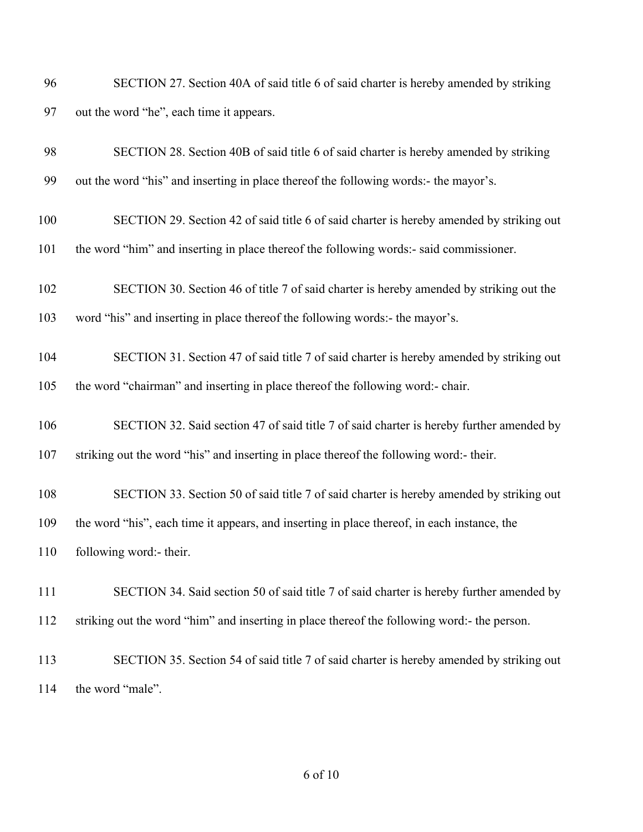| 96 | SECTION 27. Section 40A of said title 6 of said charter is hereby amended by striking |  |
|----|---------------------------------------------------------------------------------------|--|
| 97 | out the word "he", each time it appears.                                              |  |

| 98  | SECTION 28. Section 40B of said title 6 of said charter is hereby amended by striking       |
|-----|---------------------------------------------------------------------------------------------|
| 99  | out the word "his" and inserting in place thereof the following words:- the mayor's.        |
| 100 | SECTION 29. Section 42 of said title 6 of said charter is hereby amended by striking out    |
| 101 | the word "him" and inserting in place thereof the following words:- said commissioner.      |
| 102 | SECTION 30. Section 46 of title 7 of said charter is hereby amended by striking out the     |
| 103 | word "his" and inserting in place thereof the following words:- the mayor's.                |
| 104 | SECTION 31. Section 47 of said title 7 of said charter is hereby amended by striking out    |
| 105 | the word "chairman" and inserting in place thereof the following word:- chair.              |
| 106 | SECTION 32. Said section 47 of said title 7 of said charter is hereby further amended by    |
| 107 | striking out the word "his" and inserting in place thereof the following word:- their.      |
| 108 | SECTION 33. Section 50 of said title 7 of said charter is hereby amended by striking out    |
| 109 | the word "his", each time it appears, and inserting in place thereof, in each instance, the |
| 110 | following word:- their.                                                                     |
| 111 | SECTION 34. Said section 50 of said title 7 of said charter is hereby further amended by    |
| 112 | striking out the word "him" and inserting in place thereof the following word:- the person. |
| 113 | SECTION 35. Section 54 of said title 7 of said charter is hereby amended by striking out    |
| 114 | the word "male".                                                                            |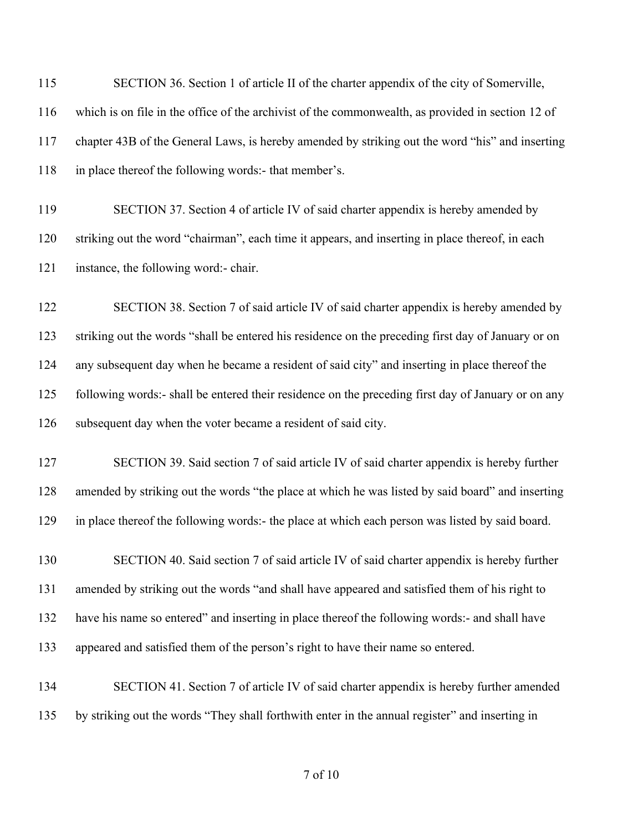| 115 | SECTION 36. Section 1 of article II of the charter appendix of the city of Somerville,             |
|-----|----------------------------------------------------------------------------------------------------|
| 116 | which is on file in the office of the archivist of the commonwealth, as provided in section 12 of  |
| 117 | chapter 43B of the General Laws, is hereby amended by striking out the word "his" and inserting    |
| 118 | in place thereof the following words:- that member's.                                              |
| 119 | SECTION 37. Section 4 of article IV of said charter appendix is hereby amended by                  |
| 120 | striking out the word "chairman", each time it appears, and inserting in place thereof, in each    |
| 121 | instance, the following word:- chair.                                                              |
| 122 | SECTION 38. Section 7 of said article IV of said charter appendix is hereby amended by             |
| 123 | striking out the words "shall be entered his residence on the preceding first day of January or on |
| 124 | any subsequent day when he became a resident of said city" and inserting in place thereof the      |
| 125 | following words:- shall be entered their residence on the preceding first day of January or on any |
| 126 | subsequent day when the voter became a resident of said city.                                      |
| 127 | SECTION 39. Said section 7 of said article IV of said charter appendix is hereby further           |
| 128 | amended by striking out the words "the place at which he was listed by said board" and inserting   |
| 129 | in place thereof the following words:- the place at which each person was listed by said board.    |
| 130 | SECTION 40. Said section 7 of said article IV of said charter appendix is hereby further           |
| 131 | amended by striking out the words "and shall have appeared and satisfied them of his right to      |
| 132 | have his name so entered" and inserting in place thereof the following words:- and shall have      |
| 133 | appeared and satisfied them of the person's right to have their name so entered.                   |
| 134 | SECTION 41. Section 7 of article IV of said charter appendix is hereby further amended             |
| 135 | by striking out the words "They shall forthwith enter in the annual register" and inserting in     |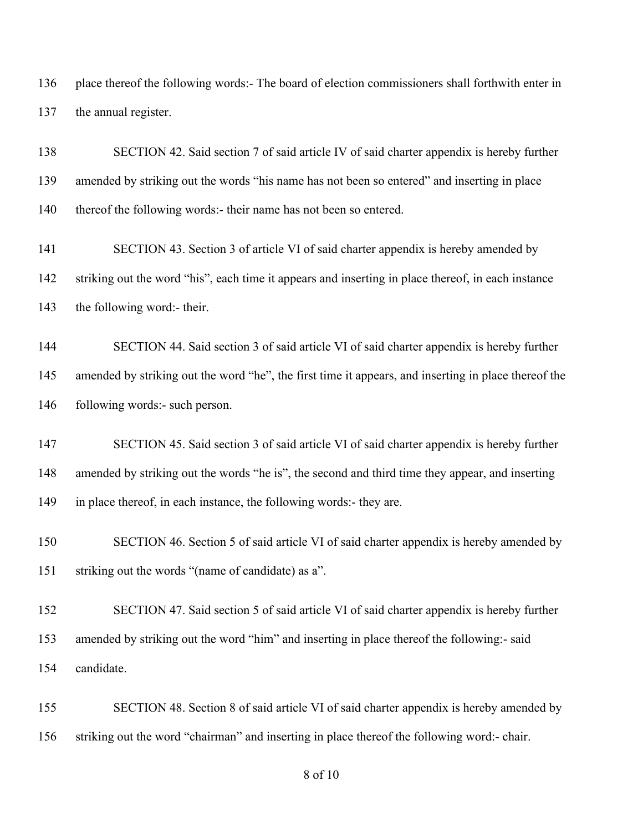place thereof the following words:- The board of election commissioners shall forthwith enter in the annual register.

 SECTION 42. Said section 7 of said article IV of said charter appendix is hereby further amended by striking out the words "his name has not been so entered" and inserting in place 140 thereof the following words:- their name has not been so entered.

 SECTION 43. Section 3 of article VI of said charter appendix is hereby amended by striking out the word "his", each time it appears and inserting in place thereof, in each instance the following word:- their.

 SECTION 44. Said section 3 of said article VI of said charter appendix is hereby further 145 amended by striking out the word "he", the first time it appears, and inserting in place thereof the following words:- such person.

 SECTION 45. Said section 3 of said article VI of said charter appendix is hereby further amended by striking out the words "he is", the second and third time they appear, and inserting 149 in place thereof, in each instance, the following words:- they are.

 SECTION 46. Section 5 of said article VI of said charter appendix is hereby amended by striking out the words "(name of candidate) as a".

 SECTION 47. Said section 5 of said article VI of said charter appendix is hereby further amended by striking out the word "him" and inserting in place thereof the following:- said candidate.

 SECTION 48. Section 8 of said article VI of said charter appendix is hereby amended by striking out the word "chairman" and inserting in place thereof the following word:- chair.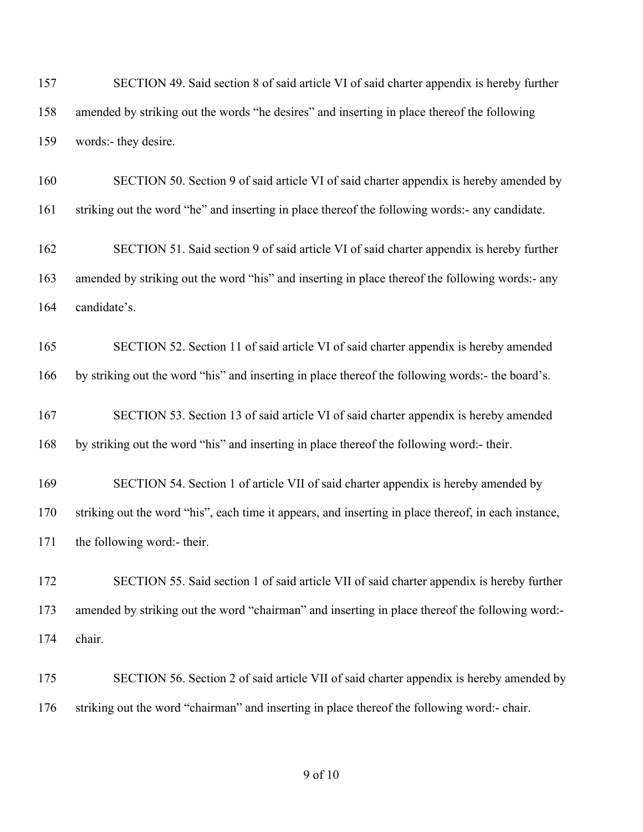SECTION 49. Said section 8 of said article VI of said charter appendix is hereby further amended by striking out the words "he desires" and inserting in place thereof the following words:- they desire.

 SECTION 50. Section 9 of said article VI of said charter appendix is hereby amended by striking out the word "he" and inserting in place thereof the following words:- any candidate.

 SECTION 51. Said section 9 of said article VI of said charter appendix is hereby further amended by striking out the word "his" and inserting in place thereof the following words:- any candidate's.

 SECTION 52. Section 11 of said article VI of said charter appendix is hereby amended by striking out the word "his" and inserting in place thereof the following words:- the board's.

 SECTION 53. Section 13 of said article VI of said charter appendix is hereby amended by striking out the word "his" and inserting in place thereof the following word:- their.

 SECTION 54. Section 1 of article VII of said charter appendix is hereby amended by striking out the word "his", each time it appears, and inserting in place thereof, in each instance, the following word:- their.

 SECTION 55. Said section 1 of said article VII of said charter appendix is hereby further amended by striking out the word "chairman" and inserting in place thereof the following word:- chair.

175 SECTION 56. Section 2 of said article VII of said charter appendix is hereby amended by striking out the word "chairman" and inserting in place thereof the following word:- chair.